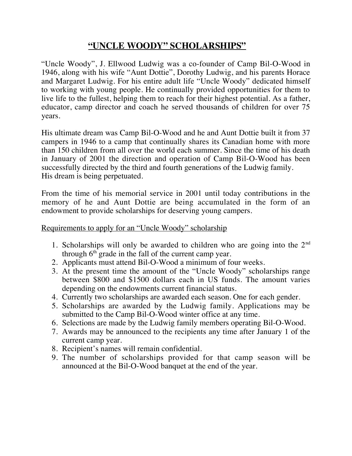## **"UNCLE WOODY" SCHOLARSHIPS"**

"Uncle Woody", J. Ellwood Ludwig was a co-founder of Camp Bil-O-Wood in 1946, along with his wife "Aunt Dottie", Dorothy Ludwig, and his parents Horace and Margaret Ludwig. For his entire adult life "Uncle Woody" dedicated himself to working with young people. He continually provided opportunities for them to live life to the fullest, helping them to reach for their highest potential. As a father, educator, camp director and coach he served thousands of children for over 75 years.

His ultimate dream was Camp Bil-O-Wood and he and Aunt Dottie built it from 37 campers in 1946 to a camp that continually shares its Canadian home with more than 150 children from all over the world each summer. Since the time of his death in January of 2001 the direction and operation of Camp Bil-O-Wood has been successfully directed by the third and fourth generations of the Ludwig family. His dream is being perpetuated.

From the time of his memorial service in 2001 until today contributions in the memory of he and Aunt Dottie are being accumulated in the form of an endowment to provide scholarships for deserving young campers.

## Requirements to apply for an "Uncle Woody" scholarship

- 1. Scholarships will only be awarded to children who are going into the  $2<sup>nd</sup>$ through  $6<sup>th</sup>$  grade in the fall of the current camp year.
- 2. Applicants must attend Bil-O-Wood a minimum of four weeks.
- 3. At the present time the amount of the "Uncle Woody" scholarships range between \$800 and \$1500 dollars each in US funds. The amount varies depending on the endowments current financial status.
- 4. Currently two scholarships are awarded each season. One for each gender.
- 5. Scholarships are awarded by the Ludwig family. Applications may be submitted to the Camp Bil-O-Wood winter office at any time.
- 6. Selections are made by the Ludwig family members operating Bil-O-Wood.
- 7. Awards may be announced to the recipients any time after January 1 of the current camp year.
- 8. Recipient's names will remain confidential.
- 9. The number of scholarships provided for that camp season will be announced at the Bil-O-Wood banquet at the end of the year.